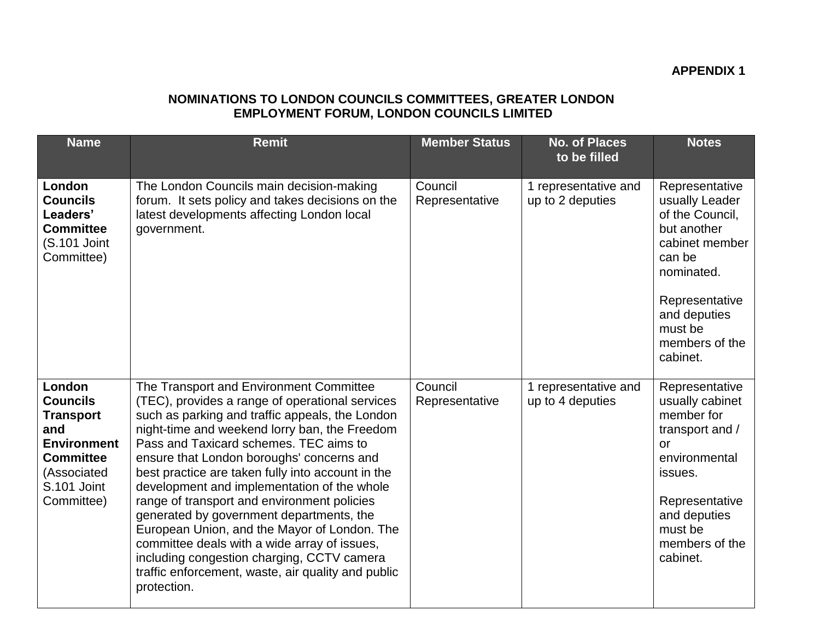## **APPENDIX 1**

## **NOMINATIONS TO LONDON COUNCILS COMMITTEES, GREATER LONDON EMPLOYMENT FORUM, LONDON COUNCILS LIMITED**

| <b>Name</b>                                                                                                                                | <b>Remit</b>                                                                                                                                                                                                                                                                                                                                                                                                                                                                                                                                                                                                                                                                                            | <b>Member Status</b>      | <b>No. of Places</b><br>to be filled     | <b>Notes</b>                                                                                                                                                                            |
|--------------------------------------------------------------------------------------------------------------------------------------------|---------------------------------------------------------------------------------------------------------------------------------------------------------------------------------------------------------------------------------------------------------------------------------------------------------------------------------------------------------------------------------------------------------------------------------------------------------------------------------------------------------------------------------------------------------------------------------------------------------------------------------------------------------------------------------------------------------|---------------------------|------------------------------------------|-----------------------------------------------------------------------------------------------------------------------------------------------------------------------------------------|
| London<br><b>Councils</b><br>Leaders'<br><b>Committee</b><br>(S.101 Joint<br>Committee)                                                    | The London Councils main decision-making<br>forum. It sets policy and takes decisions on the<br>latest developments affecting London local<br>government.                                                                                                                                                                                                                                                                                                                                                                                                                                                                                                                                               | Council<br>Representative | 1 representative and<br>up to 2 deputies | Representative<br>usually Leader<br>of the Council,<br>but another<br>cabinet member<br>can be<br>nominated.<br>Representative<br>and deputies<br>must be<br>members of the<br>cabinet. |
| London<br><b>Councils</b><br><b>Transport</b><br>and<br><b>Environment</b><br><b>Committee</b><br>(Associated<br>S.101 Joint<br>Committee) | The Transport and Environment Committee<br>(TEC), provides a range of operational services<br>such as parking and traffic appeals, the London<br>night-time and weekend lorry ban, the Freedom<br>Pass and Taxicard schemes. TEC aims to<br>ensure that London boroughs' concerns and<br>best practice are taken fully into account in the<br>development and implementation of the whole<br>range of transport and environment policies<br>generated by government departments, the<br>European Union, and the Mayor of London. The<br>committee deals with a wide array of issues,<br>including congestion charging, CCTV camera<br>traffic enforcement, waste, air quality and public<br>protection. | Council<br>Representative | 1 representative and<br>up to 4 deputies | Representative<br>usually cabinet<br>member for<br>transport and /<br>or<br>environmental<br>issues.<br>Representative<br>and deputies<br>must be<br>members of the<br>cabinet.         |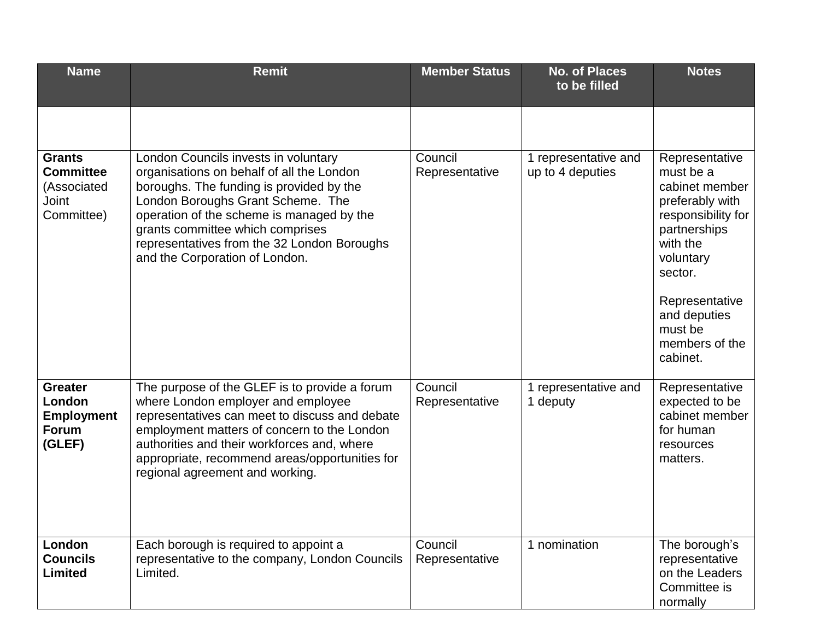| <b>Name</b>                                                             | <b>Remit</b>                                                                                                                                                                                                                                                                                                                         | <b>Member Status</b>      | <b>No. of Places</b><br>to be filled     | <b>Notes</b>                                                                                                                                                                                                          |
|-------------------------------------------------------------------------|--------------------------------------------------------------------------------------------------------------------------------------------------------------------------------------------------------------------------------------------------------------------------------------------------------------------------------------|---------------------------|------------------------------------------|-----------------------------------------------------------------------------------------------------------------------------------------------------------------------------------------------------------------------|
|                                                                         |                                                                                                                                                                                                                                                                                                                                      |                           |                                          |                                                                                                                                                                                                                       |
| <b>Grants</b><br><b>Committee</b><br>(Associated<br>Joint<br>Committee) | London Councils invests in voluntary<br>organisations on behalf of all the London<br>boroughs. The funding is provided by the<br>London Boroughs Grant Scheme. The<br>operation of the scheme is managed by the<br>grants committee which comprises<br>representatives from the 32 London Boroughs<br>and the Corporation of London. | Council<br>Representative | 1 representative and<br>up to 4 deputies | Representative<br>must be a<br>cabinet member<br>preferably with<br>responsibility for<br>partnerships<br>with the<br>voluntary<br>sector.<br>Representative<br>and deputies<br>must be<br>members of the<br>cabinet. |
| <b>Greater</b><br>London<br><b>Employment</b><br><b>Forum</b><br>(GLEF) | The purpose of the GLEF is to provide a forum<br>where London employer and employee<br>representatives can meet to discuss and debate<br>employment matters of concern to the London<br>authorities and their workforces and, where<br>appropriate, recommend areas/opportunities for<br>regional agreement and working.             | Council<br>Representative | 1 representative and<br>1 deputy         | Representative<br>expected to be<br>cabinet member<br>for human<br>resources<br>matters.                                                                                                                              |
| London<br><b>Councils</b><br>Limited                                    | Each borough is required to appoint a<br>representative to the company, London Councils<br>Limited.                                                                                                                                                                                                                                  | Council<br>Representative | 1 nomination                             | The borough's<br>representative<br>on the Leaders<br>Committee is<br>normally                                                                                                                                         |